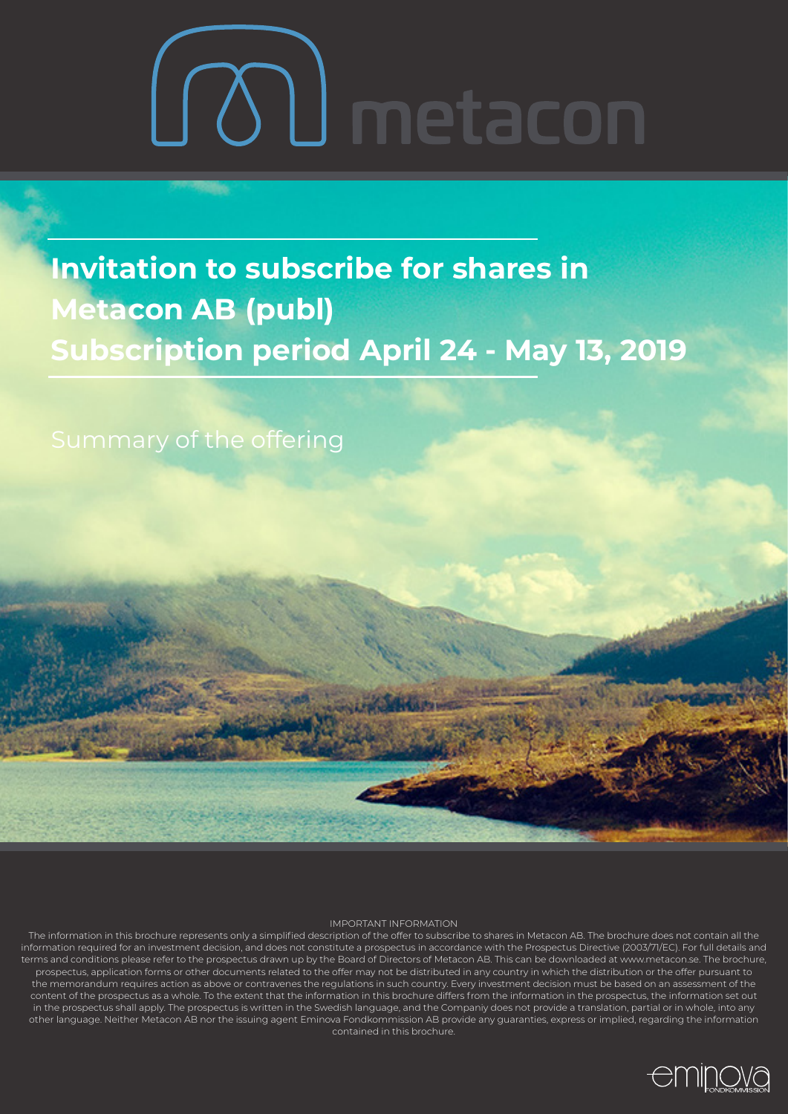# LOU metacon

**Invitation to subscribe for shares in Metacon AB (publ) Subscription period April 24 - May 13, 2019**

Summary of the offering

#### IMPORTANT INFORMATION

The information in this brochure represents only a simplified description of the offer to subscribe to shares in Metacon AB. The brochure does not contain all the information required for an investment decision, and does not constitute a prospectus in accordance with the Prospectus Directive (2003/71/EC). For full details and terms and conditions please refer to the prospectus drawn up by the Board of Directors of Metacon AB. This can be downloaded at www.metacon.se. The brochure, prospectus, application forms or other documents related to the offer may not be distributed in any country in which the distribution or the offer pursuant to the memorandum requires action as above or contravenes the regulations in such country. Every investment decision must be based on an assessment of the content of the prospectus as a whole. To the extent that the information in this brochure differs from the information in the prospectus, the information set out in the prospectus shall apply. The prospectus is written in the Swedish language, and the Companiy does not provide a translation, partial or in whole, into any other language. Neither Metacon AB nor the issuing agent Eminova Fondkommission AB provide any guaranties, express or implied, regarding the information contained in this brochure.

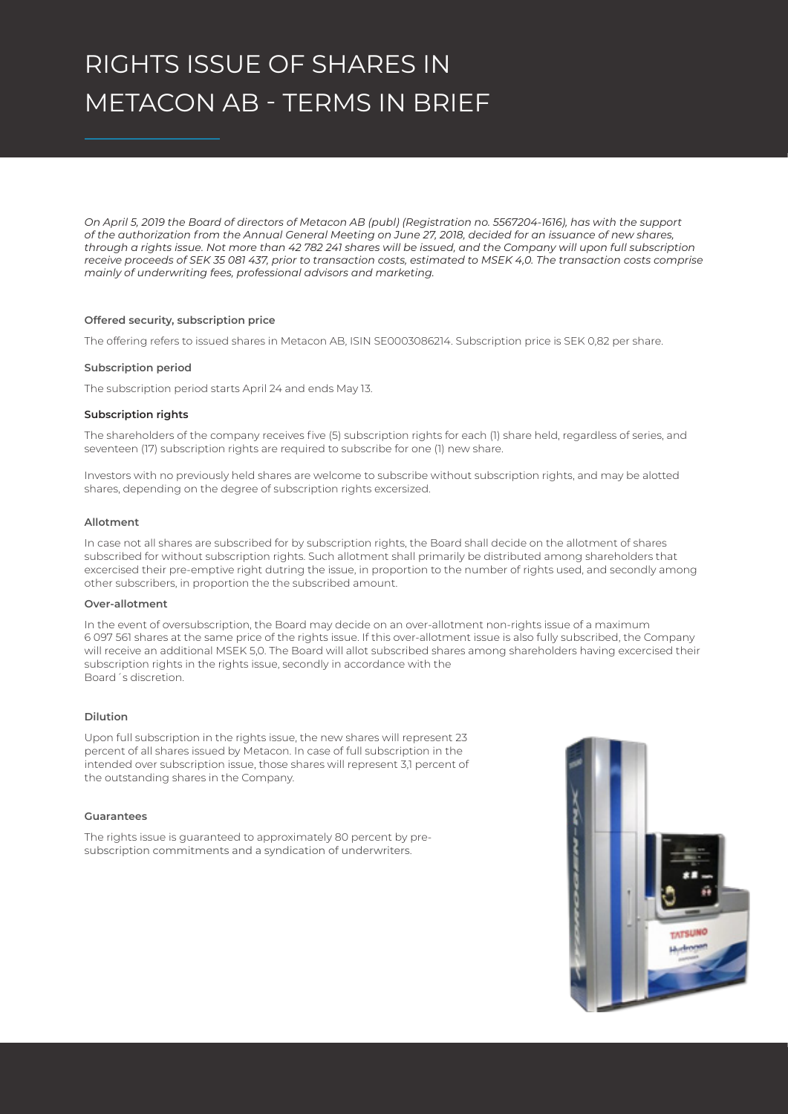# RIGHTS ISSUE OF SHARES IN METACON AB - TERMS IN BRIEF

*On April 5, 2019 the Board of directors of Metacon AB (publ) (Registration no. 5567204-1616), has with the support of the authorization from the Annual General Meeting on June 27, 2018, decided for an issuance of new shares, through a rights issue. Not more than 42 782 241 shares will be issued, and the Company will upon full subscription receive proceeds of SEK 35 081 437, prior to transaction costs, estimated to MSEK 4,0. The transaction costs comprise mainly of underwriting fees, professional advisors and marketing.* 

#### **Offered security, subscription price**

The offering refers to issued shares in Metacon AB, ISIN SE0003086214. Subscription price is SEK 0,82 per share.

#### **Subscription period**

The subscription period starts April 24 and ends May 13.

#### **Subscription rights**

The shareholders of the company receives five (5) subscription rights for each (1) share held, regardless of series, and seventeen (17) subscription rights are required to subscribe for one (1) new share.

Investors with no previously held shares are welcome to subscribe without subscription rights, and may be alotted shares, depending on the degree of subscription rights excersized.

#### **Allotment**

In case not all shares are subscribed for by subscription rights, the Board shall decide on the allotment of shares subscribed for without subscription rights. Such allotment shall primarily be distributed among shareholders that excercised their pre-emptive right dutring the issue, in proportion to the number of rights used, and secondly among other subscribers, in proportion the the subscribed amount.

#### **Over-allotment**

In the event of oversubscription, the Board may decide on an over-allotment non-rights issue of a maximum 6 097 561 shares at the same price of the rights issue. If this over-allotment issue is also fully subscribed, the Company will receive an additional MSEK 5,0. The Board will allot subscribed shares among shareholders having excercised their subscription rights in the rights issue, secondly in accordance with the Board´s discretion.

#### **Dilution**

Upon full subscription in the rights issue, the new shares will represent 23 percent of all shares issued by Metacon. In case of full subscription in the intended over subscription issue, those shares will represent 3,1 percent of the outstanding shares in the Company.

#### **Guarantees**

The rights issue is guaranteed to approximately 80 percent by presubscription commitments and a syndication of underwriters.

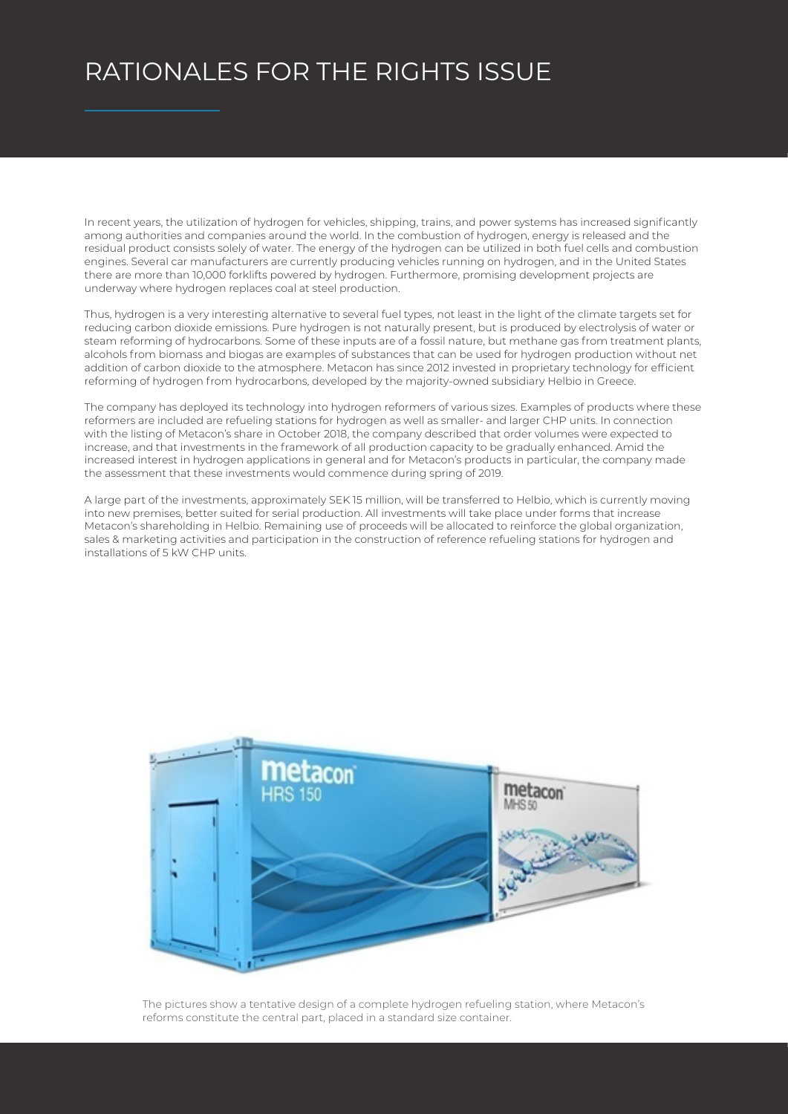## RATIONALES FOR THE RIGHTS ISSUE

In recent years, the utilization of hydrogen for vehicles, shipping, trains, and power systems has increased significantly among authorities and companies around the world. In the combustion of hydrogen, energy is released and the residual product consists solely of water. The energy of the hydrogen can be utilized in both fuel cells and combustion engines. Several car manufacturers are currently producing vehicles running on hydrogen, and in the United States there are more than 10,000 forklifts powered by hydrogen. Furthermore, promising development projects are underway where hydrogen replaces coal at steel production.

Thus, hydrogen is a very interesting alternative to several fuel types, not least in the light of the climate targets set for reducing carbon dioxide emissions. Pure hydrogen is not naturally present, but is produced by electrolysis of water or steam reforming of hydrocarbons. Some of these inputs are of a fossil nature, but methane gas from treatment plants, alcohols from biomass and biogas are examples of substances that can be used for hydrogen production without net addition of carbon dioxide to the atmosphere. Metacon has since 2012 invested in proprietary technology for efficient reforming of hydrogen from hydrocarbons, developed by the majority-owned subsidiary Helbio in Greece.

The company has deployed its technology into hydrogen reformers of various sizes. Examples of products where these reformers are included are refueling stations for hydrogen as well as smaller- and larger CHP units. In connection with the listing of Metacon's share in October 2018, the company described that order volumes were expected to increase, and that investments in the framework of all production capacity to be gradually enhanced. Amid the increased interest in hydrogen applications in general and for Metacon's products in particular, the company made the assessment that these investments would commence during spring of 2019.

A large part of the investments, approximately SEK 15 million, will be transferred to Helbio, which is currently moving into new premises, better suited for serial production. All investments will take place under forms that increase Metacon's shareholding in Helbio. Remaining use of proceeds will be allocated to reinforce the global organization, sales & marketing activities and participation in the construction of reference refueling stations for hydrogen and installations of 5 kW CHP units.



The pictures show a tentative design of a complete hydrogen refueling station, where Metacon's reforms constitute the central part, placed in a standard size container.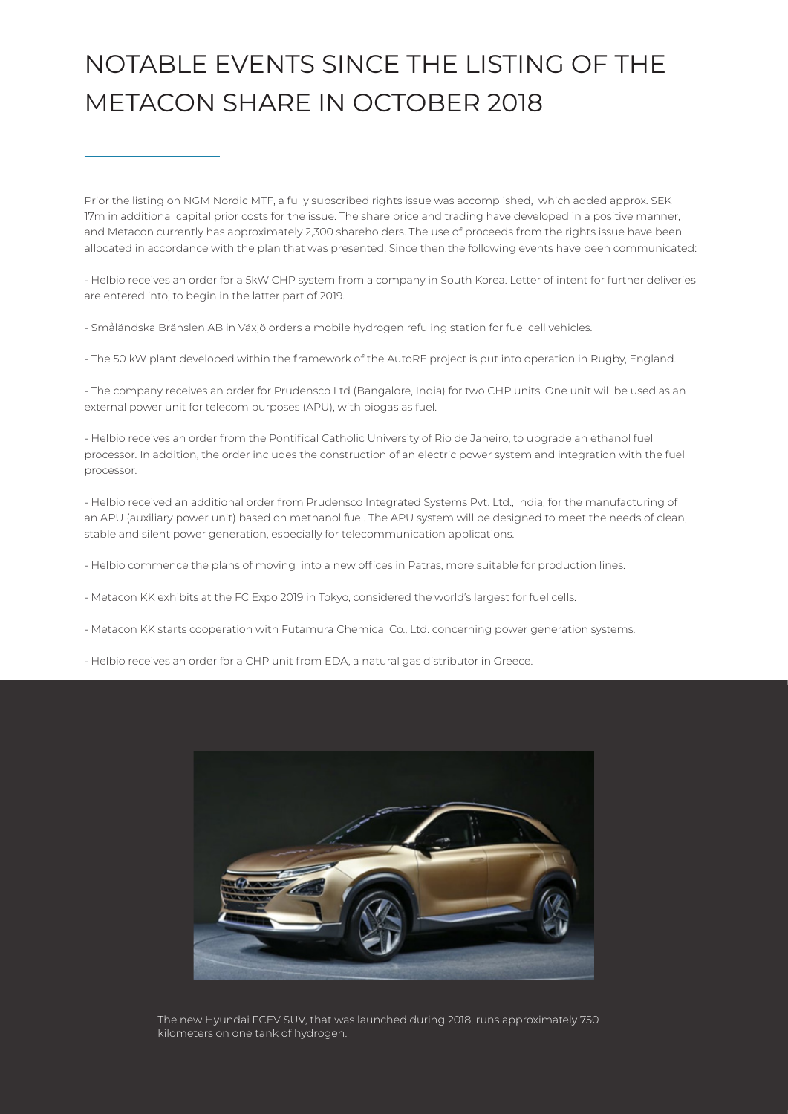## NOTABLE EVENTS SINCE THE LISTING OF THE METACON SHARE IN OCTOBER 2018

Prior the listing on NGM Nordic MTF, a fully subscribed rights issue was accomplished, which added approx. SEK 17m in additional capital prior costs for the issue. The share price and trading have developed in a positive manner, and Metacon currently has approximately 2,300 shareholders. The use of proceeds from the rights issue have been allocated in accordance with the plan that was presented. Since then the following events have been communicated:

- Helbio receives an order for a 5kW CHP system from a company in South Korea. Letter of intent for further deliveries are entered into, to begin in the latter part of 2019.

- Småländska Bränslen AB in Växjö orders a mobile hydrogen refuling station for fuel cell vehicles.

- The 50 kW plant developed within the framework of the AutoRE project is put into operation in Rugby, England.

- The company receives an order for Prudensco Ltd (Bangalore, India) for two CHP units. One unit will be used as an external power unit for telecom purposes (APU), with biogas as fuel.

- Helbio receives an order from the Pontifical Catholic University of Rio de Janeiro, to upgrade an ethanol fuel processor. In addition, the order includes the construction of an electric power system and integration with the fuel processor.

- Helbio received an additional order from Prudensco Integrated Systems Pvt. Ltd., India, for the manufacturing of an APU (auxiliary power unit) based on methanol fuel. The APU system will be designed to meet the needs of clean, stable and silent power generation, especially for telecommunication applications.

- Helbio commence the plans of moving into a new offices in Patras, more suitable for production lines.

- Metacon KK exhibits at the FC Expo 2019 in Tokyo, considered the world's largest for fuel cells.
- Metacon KK starts cooperation with Futamura Chemical Co., Ltd. concerning power generation systems.
- Helbio receives an order for a CHP unit from EDA, a natural gas distributor in Greece.



The new Hyundai FCEV SUV, that was launched during 2018, runs approximately 750 kilometers on one tank of hydrogen.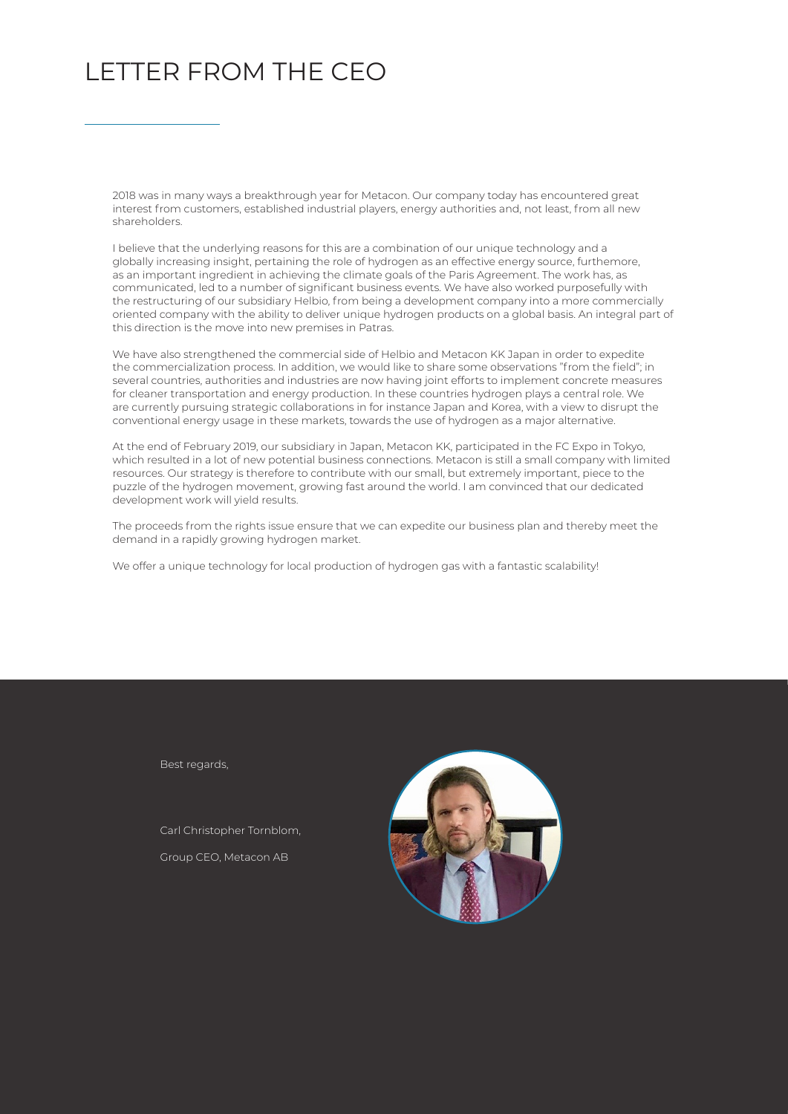### LETTER FROM THE CEO

2018 was in many ways a breakthrough year for Metacon. Our company today has encountered great interest from customers, established industrial players, energy authorities and, not least, from all new shareholders.

I believe that the underlying reasons for this are a combination of our unique technology and a globally increasing insight, pertaining the role of hydrogen as an effective energy source, furthemore, as an important ingredient in achieving the climate goals of the Paris Agreement. The work has, as communicated, led to a number of significant business events. We have also worked purposefully with the restructuring of our subsidiary Helbio, from being a development company into a more commercially oriented company with the ability to deliver unique hydrogen products on a global basis. An integral part of this direction is the move into new premises in Patras.

We have also strengthened the commercial side of Helbio and Metacon KK Japan in order to expedite the commercialization process. In addition, we would like to share some observations "from the field"; in several countries, authorities and industries are now having joint efforts to implement concrete measures for cleaner transportation and energy production. In these countries hydrogen plays a central role. We are currently pursuing strategic collaborations in for instance Japan and Korea, with a view to disrupt the conventional energy usage in these markets, towards the use of hydrogen as a major alternative.

At the end of February 2019, our subsidiary in Japan, Metacon KK, participated in the FC Expo in Tokyo, which resulted in a lot of new potential business connections. Metacon is still a small company with limited resources. Our strategy is therefore to contribute with our small, but extremely important, piece to the puzzle of the hydrogen movement, growing fast around the world. I am convinced that our dedicated development work will yield results.

The proceeds from the rights issue ensure that we can expedite our business plan and thereby meet the demand in a rapidly growing hydrogen market.

We offer a unique technology for local production of hydrogen gas with a fantastic scalability!

Best regards,

Carl Christopher Tornblom, Group CEO, Metacon AB

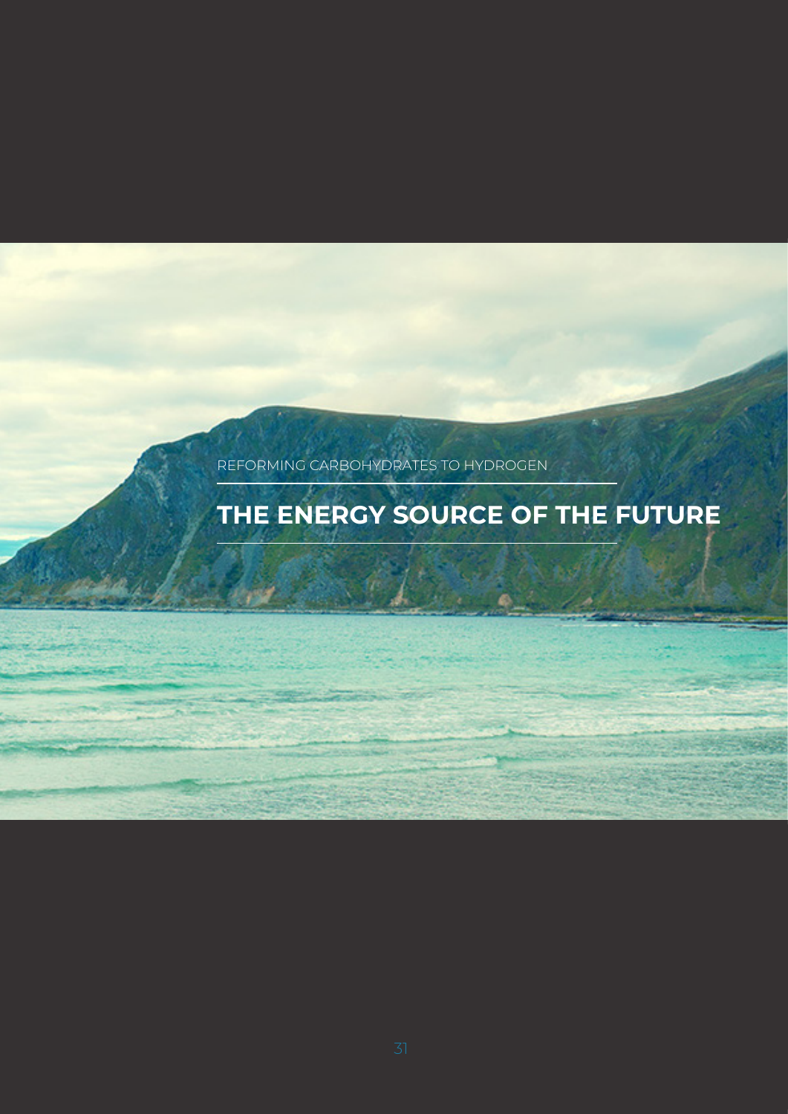REFORMING CARBOHYDRATES TO HYDROGEN

## **THE ENERGY SOURCE OF THE FUTURE**